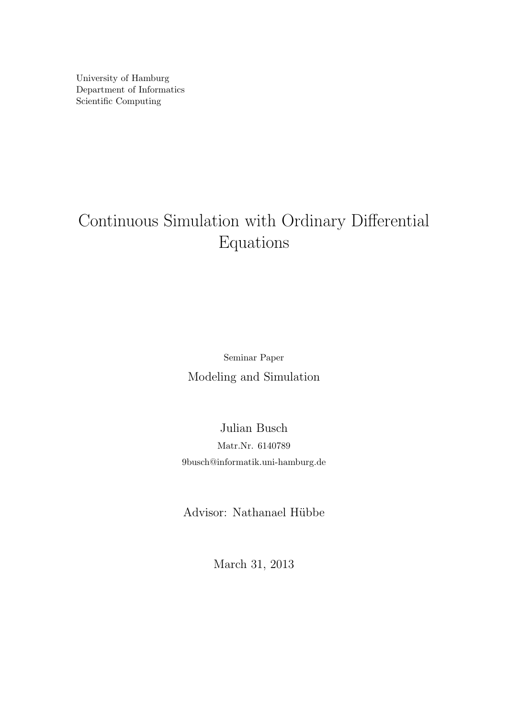University of Hamburg Department of Informatics Scientific Computing

# Continuous Simulation with Ordinary Differential Equations

Seminar Paper Modeling and Simulation

Julian Busch Matr.Nr. 6140789 9busch@informatik.uni-hamburg.de

Advisor: Nathanael Hübbe

March 31, 2013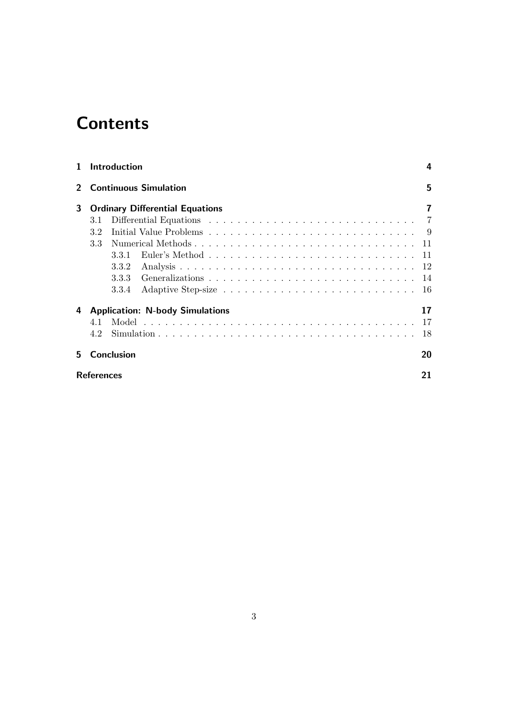# **Contents**

| 1                 |                              | Introduction |                                        |  |  |  |  |  |  |  |  |   |    |  |  |  |  |  | 4   |
|-------------------|------------------------------|--------------|----------------------------------------|--|--|--|--|--|--|--|--|---|----|--|--|--|--|--|-----|
| $2^{-}$           | <b>Continuous Simulation</b> |              |                                        |  |  |  |  |  |  |  |  | 5 |    |  |  |  |  |  |     |
| 3                 |                              |              | <b>Ordinary Differential Equations</b> |  |  |  |  |  |  |  |  |   |    |  |  |  |  |  | 7   |
|                   | 3.1                          |              |                                        |  |  |  |  |  |  |  |  |   |    |  |  |  |  |  |     |
|                   | 3.2                          |              |                                        |  |  |  |  |  |  |  |  |   |    |  |  |  |  |  |     |
|                   | 3.3                          |              |                                        |  |  |  |  |  |  |  |  |   |    |  |  |  |  |  |     |
|                   |                              | 3.3.1        |                                        |  |  |  |  |  |  |  |  |   |    |  |  |  |  |  |     |
|                   |                              | 3.3.2        |                                        |  |  |  |  |  |  |  |  |   |    |  |  |  |  |  |     |
|                   |                              | 3.3.3        |                                        |  |  |  |  |  |  |  |  |   |    |  |  |  |  |  |     |
|                   |                              | 3.3.4        |                                        |  |  |  |  |  |  |  |  |   |    |  |  |  |  |  | -16 |
| 4                 |                              |              | <b>Application: N-body Simulations</b> |  |  |  |  |  |  |  |  |   |    |  |  |  |  |  | 17  |
|                   | 4.1                          |              |                                        |  |  |  |  |  |  |  |  |   |    |  |  |  |  |  | -17 |
|                   | 4.2                          |              |                                        |  |  |  |  |  |  |  |  |   |    |  |  |  |  |  | 18  |
| 5.                |                              | Conclusion   |                                        |  |  |  |  |  |  |  |  |   |    |  |  |  |  |  | 20  |
| <b>References</b> |                              |              |                                        |  |  |  |  |  |  |  |  |   | 21 |  |  |  |  |  |     |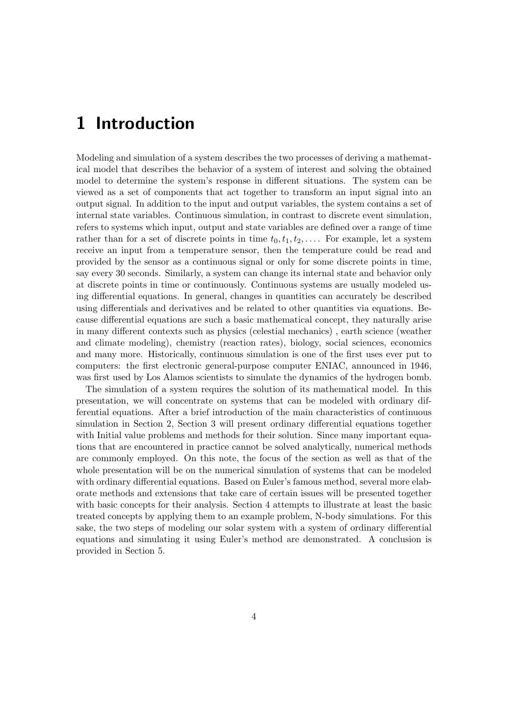## 1 Introduction

Modeling and simulation of a system describes the two processes of deriving a mathematical model that describes the behavior of a system of interest and solving the obtained model to determine the system's response in different situations. The system can be viewed as a set of components that act together to transform an input signal into an output signal. In addition to the input and output variables, the system contains a set of internal state variables. Continuous simulation, in contrast to discrete event simulation, refers to systems which input, output and state variables are defined over a range of time rather than for a set of discrete points in time  $t_0, t_1, t_2, \ldots$ . For example, let a system receive an input from a temperature sensor, then the temperature could be read and provided by the sensor as a continuous signal or only for some discrete points in time, say every 30 seconds. Similarly, a system can change its internal state and behavior only at discrete points in time or continuously. Continuous systems are usually modeled using differential equations. In general, changes in quantities can accurately be described using differentials and derivatives and be related to other quantities via equations. Because differential equations are such a basic mathematical concept, they naturally arise in many different contexts such as physics (celestial mechanics) , earth science (weather and climate modeling), chemistry (reaction rates), biology, social sciences, economics and many more. Historically, continuous simulation is one of the first uses ever put to computers: the first electronic general-purpose computer ENIAC, announced in 1946, was first used by Los Alamos scientists to simulate the dynamics of the hydrogen bomb.

The simulation of a system requires the solution of its mathematical model. In this presentation, we will concentrate on systems that can be modeled with ordinary differential equations. After a brief introduction of the main characteristics of continuous simulation in Section 2, Section 3 will present ordinary differential equations together with Initial value problems and methods for their solution. Since many important equations that are encountered in practice cannot be solved analytically, numerical methods are commonly employed. On this note, the focus of the section as well as that of the whole presentation will be on the numerical simulation of systems that can be modeled with ordinary differential equations. Based on Euler's famous method, several more elaborate methods and extensions that take care of certain issues will be presented together with basic concepts for their analysis. Section 4 attempts to illustrate at least the basic treated concepts by applying them to an example problem, N-body simulations. For this sake, the two steps of modeling our solar system with a system of ordinary differential equations and simulating it using Euler's method are demonstrated. A conclusion is provided in Section 5.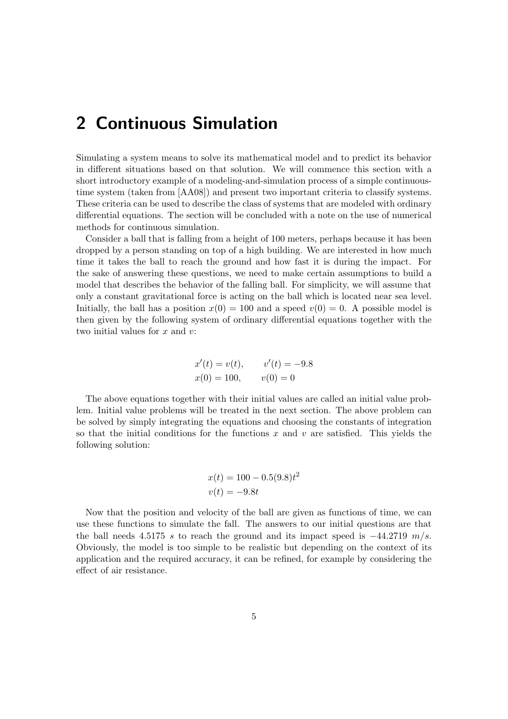## 2 Continuous Simulation

Simulating a system means to solve its mathematical model and to predict its behavior in different situations based on that solution. We will commence this section with a short introductory example of a modeling-and-simulation process of a simple continuoustime system (taken from [AA08]) and present two important criteria to classify systems. These criteria can be used to describe the class of systems that are modeled with ordinary differential equations. The section will be concluded with a note on the use of numerical methods for continuous simulation.

Consider a ball that is falling from a height of 100 meters, perhaps because it has been dropped by a person standing on top of a high building. We are interested in how much time it takes the ball to reach the ground and how fast it is during the impact. For the sake of answering these questions, we need to make certain assumptions to build a model that describes the behavior of the falling ball. For simplicity, we will assume that only a constant gravitational force is acting on the ball which is located near sea level. Initially, the ball has a position  $x(0) = 100$  and a speed  $v(0) = 0$ . A possible model is then given by the following system of ordinary differential equations together with the two initial values for  $x$  and  $v$ :

$$
x'(t) = v(t), \t v'(t) = -9.8
$$
  

$$
x(0) = 100, \t v(0) = 0
$$

The above equations together with their initial values are called an initial value problem. Initial value problems will be treated in the next section. The above problem can be solved by simply integrating the equations and choosing the constants of integration so that the initial conditions for the functions  $x$  and  $v$  are satisfied. This yields the following solution:

$$
x(t) = 100 - 0.5(9.8)t^2
$$
  

$$
v(t) = -9.8t
$$

Now that the position and velocity of the ball are given as functions of time, we can use these functions to simulate the fall. The answers to our initial questions are that the ball needs 4.5175 s to reach the ground and its impact speed is  $-44.2719$  m/s. Obviously, the model is too simple to be realistic but depending on the context of its application and the required accuracy, it can be refined, for example by considering the effect of air resistance.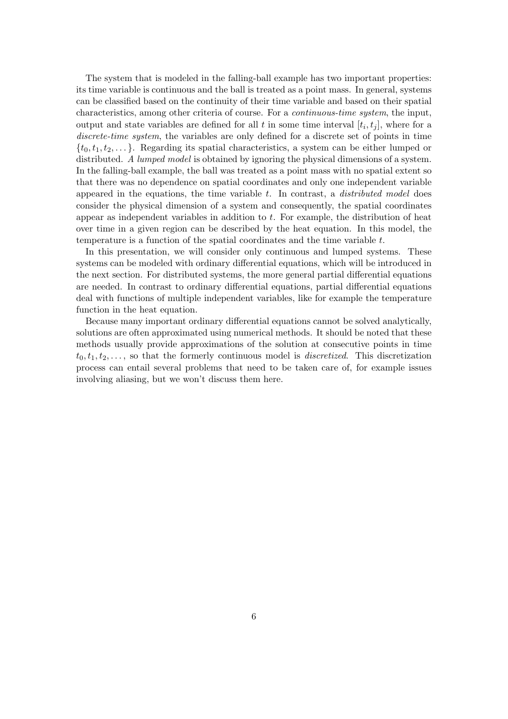The system that is modeled in the falling-ball example has two important properties: its time variable is continuous and the ball is treated as a point mass. In general, systems can be classified based on the continuity of their time variable and based on their spatial characteristics, among other criteria of course. For a continuous-time system, the input, output and state variables are defined for all t in some time interval  $[t_i, t_j]$ , where for a discrete-time system, the variables are only defined for a discrete set of points in time  $\{t_0, t_1, t_2, \ldots\}$ . Regarding its spatial characteristics, a system can be either lumped or distributed. A lumped model is obtained by ignoring the physical dimensions of a system. In the falling-ball example, the ball was treated as a point mass with no spatial extent so that there was no dependence on spatial coordinates and only one independent variable appeared in the equations, the time variable  $t$ . In contrast, a *distributed model* does consider the physical dimension of a system and consequently, the spatial coordinates appear as independent variables in addition to t. For example, the distribution of heat over time in a given region can be described by the heat equation. In this model, the temperature is a function of the spatial coordinates and the time variable t.

In this presentation, we will consider only continuous and lumped systems. These systems can be modeled with ordinary differential equations, which will be introduced in the next section. For distributed systems, the more general partial differential equations are needed. In contrast to ordinary differential equations, partial differential equations deal with functions of multiple independent variables, like for example the temperature function in the heat equation.

Because many important ordinary differential equations cannot be solved analytically, solutions are often approximated using numerical methods. It should be noted that these methods usually provide approximations of the solution at consecutive points in time  $t_0, t_1, t_2, \ldots$ , so that the formerly continuous model is *discretized*. This discretization process can entail several problems that need to be taken care of, for example issues involving aliasing, but we won't discuss them here.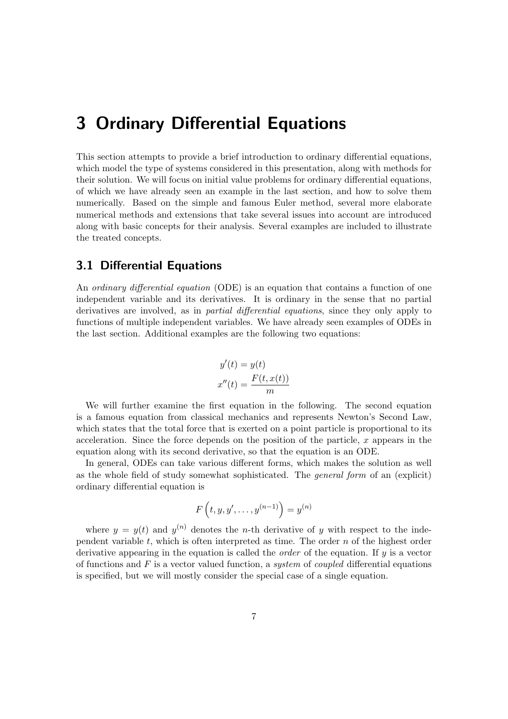## 3 Ordinary Differential Equations

This section attempts to provide a brief introduction to ordinary differential equations, which model the type of systems considered in this presentation, along with methods for their solution. We will focus on initial value problems for ordinary differential equations, of which we have already seen an example in the last section, and how to solve them numerically. Based on the simple and famous Euler method, several more elaborate numerical methods and extensions that take several issues into account are introduced along with basic concepts for their analysis. Several examples are included to illustrate the treated concepts.

### 3.1 Differential Equations

An *ordinary differential equation* (ODE) is an equation that contains a function of one independent variable and its derivatives. It is ordinary in the sense that no partial derivatives are involved, as in *partial differential equations*, since they only apply to functions of multiple independent variables. We have already seen examples of ODEs in the last section. Additional examples are the following two equations:

$$
y'(t) = y(t)
$$

$$
x''(t) = \frac{F(t, x(t))}{m}
$$

We will further examine the first equation in the following. The second equation is a famous equation from classical mechanics and represents Newton's Second Law, which states that the total force that is exerted on a point particle is proportional to its acceleration. Since the force depends on the position of the particle,  $x$  appears in the equation along with its second derivative, so that the equation is an ODE.

In general, ODEs can take various different forms, which makes the solution as well as the whole field of study somewhat sophisticated. The general form of an (explicit) ordinary differential equation is

$$
F(t, y, y', \dots, y^{(n-1)}) = y^{(n)}
$$

where  $y = y(t)$  and  $y^{(n)}$  denotes the *n*-th derivative of y with respect to the independent variable  $t$ , which is often interpreted as time. The order  $n$  of the highest order derivative appearing in the equation is called the order of the equation. If y is a vector of functions and  $F$  is a vector valued function, a system of coupled differential equations is specified, but we will mostly consider the special case of a single equation.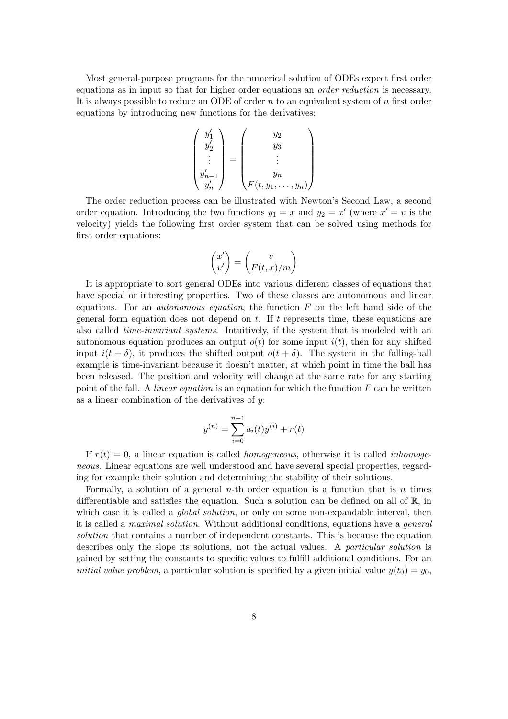Most general-purpose programs for the numerical solution of ODEs expect first order equations as in input so that for higher order equations an order reduction is necessary. It is always possible to reduce an ODE of order  $n$  to an equivalent system of  $n$  first order equations by introducing new functions for the derivatives:

$$
\begin{pmatrix} y_1' \\ y_2' \\ \vdots \\ y_{n-1}' \\ y_n' \end{pmatrix} = \begin{pmatrix} y_2 \\ y_3 \\ \vdots \\ y_n \\ F(t, y_1, \dots, y_n) \end{pmatrix}
$$

The order reduction process can be illustrated with Newton's Second Law, a second order equation. Introducing the two functions  $y_1 = x$  and  $y_2 = x'$  (where  $x' = v$  is the velocity) yields the following first order system that can be solved using methods for first order equations:

$$
\begin{pmatrix} x' \\ v' \end{pmatrix} = \begin{pmatrix} v \\ F(t,x)/m \end{pmatrix}
$$

It is appropriate to sort general ODEs into various different classes of equations that have special or interesting properties. Two of these classes are autonomous and linear equations. For an *autonomous equation*, the function  $F$  on the left hand side of the general form equation does not depend on  $t$ . If  $t$  represents time, these equations are also called *time-invariant systems*. Intuitively, if the system that is modeled with an autonomous equation produces an output  $o(t)$  for some input  $i(t)$ , then for any shifted input  $i(t + \delta)$ , it produces the shifted output  $o(t + \delta)$ . The system in the falling-ball example is time-invariant because it doesn't matter, at which point in time the ball has been released. The position and velocity will change at the same rate for any starting point of the fall. A *linear equation* is an equation for which the function  $F$  can be written as a linear combination of the derivatives of  $y$ :

$$
y^{(n)} = \sum_{i=0}^{n-1} a_i(t) y^{(i)} + r(t)
$$

If  $r(t) = 0$ , a linear equation is called *homogeneous*, otherwise it is called *inhomoge*neous. Linear equations are well understood and have several special properties, regarding for example their solution and determining the stability of their solutions.

Formally, a solution of a general  $n$ -th order equation is a function that is  $n$  times differentiable and satisfies the equation. Such a solution can be defined on all of  $\mathbb{R}$ , in which case it is called a *global solution*, or only on some non-expandable interval, then it is called a maximal solution. Without additional conditions, equations have a general solution that contains a number of independent constants. This is because the equation describes only the slope its solutions, not the actual values. A particular solution is gained by setting the constants to specific values to fulfill additional conditions. For an *initial value problem*, a particular solution is specified by a given initial value  $y(t_0) = y_0$ ,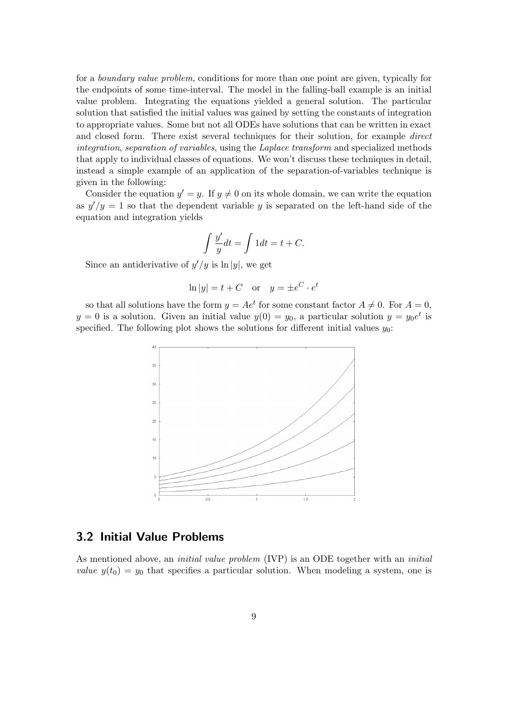for a boundary value problem, conditions for more than one point are given, typically for the endpoints of some time-interval. The model in the falling-ball example is an initial value problem. Integrating the equations yielded a general solution. The particular solution that satisfied the initial values was gained by setting the constants of integration to appropriate values. Some but not all ODEs have solutions that can be written in exact and closed form. There exist several techniques for their solution, for example direct integration, separation of variables, using the Laplace transform and specialized methods that apply to individual classes of equations. We won't discuss these techniques in detail, instead a simple example of an application of the separation-of-variables technique is given in the following:

Consider the equation  $y' = y$ . If  $y \neq 0$  on its whole domain, we can write the equation as  $y'/y = 1$  so that the dependent variable y is separated on the left-hand side of the equation and integration yields

$$
\int \frac{y'}{y} dt = \int 1 dt = t + C.
$$

Since an antiderivative of  $y'/y$  is  $\ln|y|$ , we get

$$
\ln|y| = t + C
$$
 or  $y = \pm e^C \cdot e^t$ 

so that all solutions have the form  $y = Ae^t$  for some constant factor  $A \neq 0$ . For  $A = 0$ ,  $y = 0$  is a solution. Given an initial value  $y(0) = y_0$ , a particular solution  $y = y_0 e^t$  is specified. The following plot shows the solutions for different initial values  $y_0$ :



### 3.2 Initial Value Problems

As mentioned above, an *initial value problem* (IVP) is an ODE together with an *initial value*  $y(t_0) = y_0$  that specifies a particular solution. When modeling a system, one is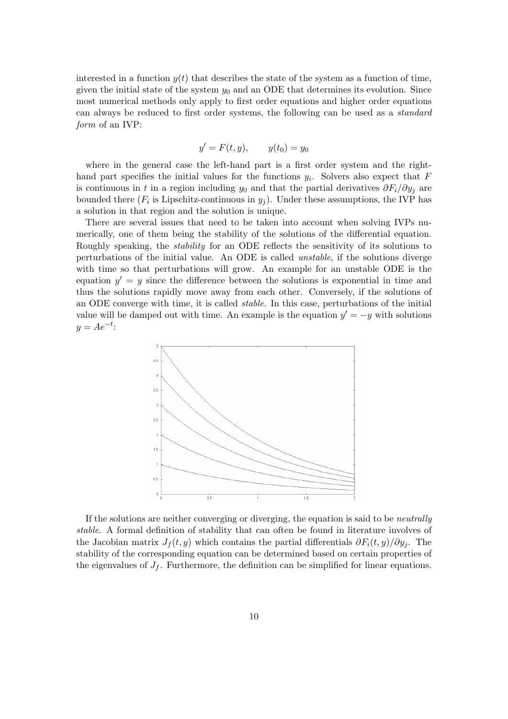interested in a function  $y(t)$  that describes the state of the system as a function of time, given the initial state of the system  $y_0$  and an ODE that determines its evolution. Since most numerical methods only apply to first order equations and higher order equations can always be reduced to first order systems, the following can be used as a standard form of an IVP:

$$
y' = F(t, y), \qquad y(t_0) = y_0
$$

where in the general case the left-hand part is a first order system and the righthand part specifies the initial values for the functions  $y_i$ . Solvers also expect that F is continuous in t in a region including  $y_0$  and that the partial derivatives  $\partial F_i/\partial y_j$  are bounded there  $(F_i)$  is Lipschitz-continuous in  $y_j$ ). Under these assumptions, the IVP has a solution in that region and the solution is unique.

There are several issues that need to be taken into account when solving IVPs numerically, one of them being the stability of the solutions of the differential equation. Roughly speaking, the stability for an ODE reflects the sensitivity of its solutions to perturbations of the initial value. An ODE is called unstable, if the solutions diverge with time so that perturbations will grow. An example for an unstable ODE is the equation  $y' = y$  since the difference between the solutions is exponential in time and thus the solutions rapidly move away from each other. Conversely, if the solutions of an ODE converge with time, it is called stable. In this case, perturbations of the initial value will be damped out with time. An example is the equation  $y' = -y$  with solutions  $y = Ae^{-t}$ :



If the solutions are neither converging or diverging, the equation is said to be neutrally stable. A formal definition of stability that can often be found in literature involves of the Jacobian matrix  $J_f(t, y)$  which contains the partial differentials  $\partial F_i(t, y)/\partial y_i$ . The stability of the corresponding equation can be determined based on certain properties of the eigenvalues of  $J_f$ . Furthermore, the definition can be simplified for linear equations.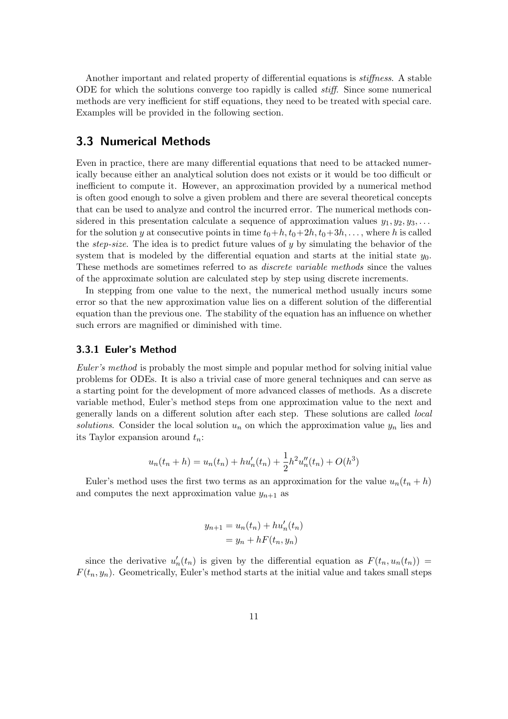Another important and related property of differential equations is stiffness. A stable ODE for which the solutions converge too rapidly is called stiff. Since some numerical methods are very inefficient for stiff equations, they need to be treated with special care. Examples will be provided in the following section.

### 3.3 Numerical Methods

Even in practice, there are many differential equations that need to be attacked numerically because either an analytical solution does not exists or it would be too difficult or inefficient to compute it. However, an approximation provided by a numerical method is often good enough to solve a given problem and there are several theoretical concepts that can be used to analyze and control the incurred error. The numerical methods considered in this presentation calculate a sequence of approximation values  $y_1, y_2, y_3, \ldots$ for the solution y at consecutive points in time  $t_0+h, t_0+2h, t_0+3h, \ldots$ , where h is called the *step-size*. The idea is to predict future values of y by simulating the behavior of the system that is modeled by the differential equation and starts at the initial state  $y_0$ . These methods are sometimes referred to as discrete variable methods since the values of the approximate solution are calculated step by step using discrete increments.

In stepping from one value to the next, the numerical method usually incurs some error so that the new approximation value lies on a different solution of the differential equation than the previous one. The stability of the equation has an influence on whether such errors are magnified or diminished with time.

#### 3.3.1 Euler's Method

Euler's method is probably the most simple and popular method for solving initial value problems for ODEs. It is also a trivial case of more general techniques and can serve as a starting point for the development of more advanced classes of methods. As a discrete variable method, Euler's method steps from one approximation value to the next and generally lands on a different solution after each step. These solutions are called local solutions. Consider the local solution  $u_n$  on which the approximation value  $y_n$  lies and its Taylor expansion around  $t_n$ :

$$
u_n(t_n + h) = u_n(t_n) + hu'_n(t_n) + \frac{1}{2}h^2u''_n(t_n) + O(h^3)
$$

Euler's method uses the first two terms as an approximation for the value  $u_n(t_n + h)$ and computes the next approximation value  $y_{n+1}$  as

$$
y_{n+1} = u_n(t_n) + hu'_n(t_n)
$$
  
= 
$$
y_n + hF(t_n, y_n)
$$

since the derivative  $u'_n(t_n)$  is given by the differential equation as  $F(t_n, u_n(t_n)) =$  $F(t_n, y_n)$ . Geometrically, Euler's method starts at the initial value and takes small steps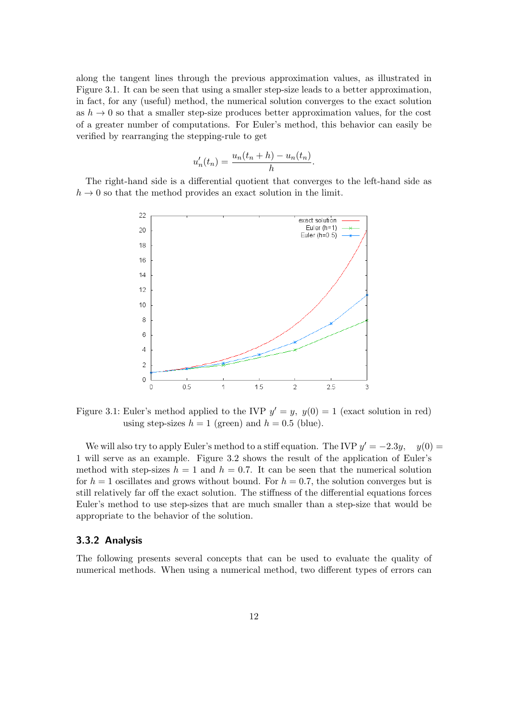along the tangent lines through the previous approximation values, as illustrated in Figure 3.1. It can be seen that using a smaller step-size leads to a better approximation, in fact, for any (useful) method, the numerical solution converges to the exact solution as  $h \to 0$  so that a smaller step-size produces better approximation values, for the cost of a greater number of computations. For Euler's method, this behavior can easily be verified by rearranging the stepping-rule to get

$$
u'_n(t_n) = \frac{u_n(t_n + h) - u_n(t_n)}{h}.
$$

The right-hand side is a differential quotient that converges to the left-hand side as  $h \to 0$  so that the method provides an exact solution in the limit.



Figure 3.1: Euler's method applied to the IVP  $y' = y$ ,  $y(0) = 1$  (exact solution in red) using step-sizes  $h = 1$  (green) and  $h = 0.5$  (blue).

We will also try to apply Euler's method to a stiff equation. The IVP  $y' = -2.3y$ ,  $y(0) =$ 1 will serve as an example. Figure 3.2 shows the result of the application of Euler's method with step-sizes  $h = 1$  and  $h = 0.7$ . It can be seen that the numerical solution for  $h = 1$  oscillates and grows without bound. For  $h = 0.7$ , the solution converges but is still relatively far off the exact solution. The stiffness of the differential equations forces Euler's method to use step-sizes that are much smaller than a step-size that would be appropriate to the behavior of the solution.

#### 3.3.2 Analysis

The following presents several concepts that can be used to evaluate the quality of numerical methods. When using a numerical method, two different types of errors can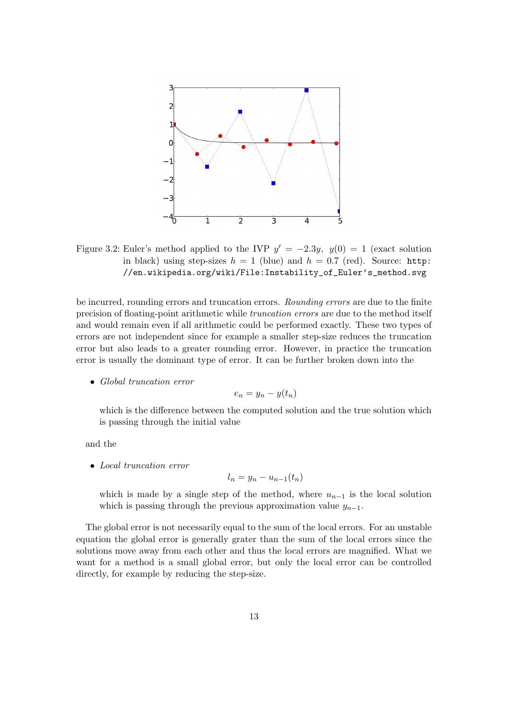

Figure 3.2: Euler's method applied to the IVP  $y' = -2.3y$ ,  $y(0) = 1$  (exact solution in black) using step-sizes  $h = 1$  (blue) and  $h = 0.7$  (red). Source: http: //en.wikipedia.org/wiki/File:Instability\_of\_Euler's\_method.svg

be incurred, rounding errors and truncation errors. Rounding errors are due to the finite precision of floating-point arithmetic while truncation errors are due to the method itself and would remain even if all arithmetic could be performed exactly. These two types of errors are not independent since for example a smaller step-size reduces the truncation error but also leads to a greater rounding error. However, in practice the truncation error is usually the dominant type of error. It can be further broken down into the

• Global truncation error

$$
e_n = y_n - y(t_n)
$$

which is the difference between the computed solution and the true solution which is passing through the initial value

and the

• Local truncation error

$$
l_n = y_n - u_{n-1}(t_n)
$$

which is made by a single step of the method, where  $u_{n-1}$  is the local solution which is passing through the previous approximation value  $y_{n-1}$ .

The global error is not necessarily equal to the sum of the local errors. For an unstable equation the global error is generally grater than the sum of the local errors since the solutions move away from each other and thus the local errors are magnified. What we want for a method is a small global error, but only the local error can be controlled directly, for example by reducing the step-size.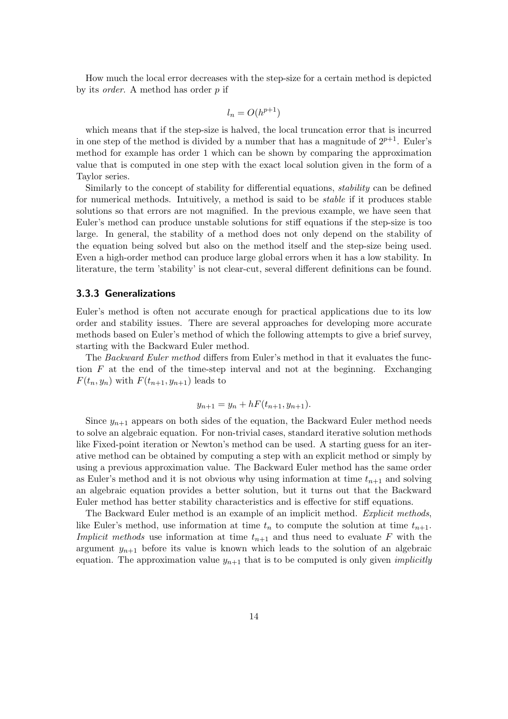How much the local error decreases with the step-size for a certain method is depicted by its order. A method has order p if

$$
l_n = O(h^{p+1})
$$

which means that if the step-size is halved, the local truncation error that is incurred in one step of the method is divided by a number that has a magnitude of  $2^{p+1}$ . Euler's method for example has order 1 which can be shown by comparing the approximation value that is computed in one step with the exact local solution given in the form of a Taylor series.

Similarly to the concept of stability for differential equations, stability can be defined for numerical methods. Intuitively, a method is said to be stable if it produces stable solutions so that errors are not magnified. In the previous example, we have seen that Euler's method can produce unstable solutions for stiff equations if the step-size is too large. In general, the stability of a method does not only depend on the stability of the equation being solved but also on the method itself and the step-size being used. Even a high-order method can produce large global errors when it has a low stability. In literature, the term 'stability' is not clear-cut, several different definitions can be found.

#### 3.3.3 Generalizations

Euler's method is often not accurate enough for practical applications due to its low order and stability issues. There are several approaches for developing more accurate methods based on Euler's method of which the following attempts to give a brief survey, starting with the Backward Euler method.

The Backward Euler method differs from Euler's method in that it evaluates the function F at the end of the time-step interval and not at the beginning. Exchanging  $F(t_n, y_n)$  with  $F(t_{n+1}, y_{n+1})$  leads to

$$
y_{n+1} = y_n + hF(t_{n+1}, y_{n+1}).
$$

Since  $y_{n+1}$  appears on both sides of the equation, the Backward Euler method needs to solve an algebraic equation. For non-trivial cases, standard iterative solution methods like Fixed-point iteration or Newton's method can be used. A starting guess for an iterative method can be obtained by computing a step with an explicit method or simply by using a previous approximation value. The Backward Euler method has the same order as Euler's method and it is not obvious why using information at time  $t_{n+1}$  and solving an algebraic equation provides a better solution, but it turns out that the Backward Euler method has better stability characteristics and is effective for stiff equations.

The Backward Euler method is an example of an implicit method. Explicit methods, like Euler's method, use information at time  $t_n$  to compute the solution at time  $t_{n+1}$ . Implicit methods use information at time  $t_{n+1}$  and thus need to evaluate F with the argument  $y_{n+1}$  before its value is known which leads to the solution of an algebraic equation. The approximation value  $y_{n+1}$  that is to be computed is only given *implicitly*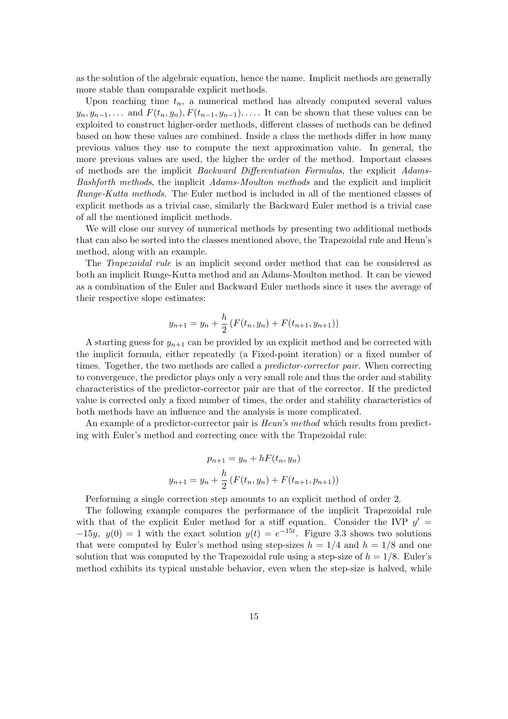as the solution of the algebraic equation, hence the name. Implicit methods are generally more stable than comparable explicit methods.

Upon reaching time  $t_n$ , a numerical method has already computed several values  $y_n, y_{n-1}, \ldots$  and  $F(t_n, y_n), F(t_{n-1}, y_{n-1}), \ldots$  It can be shown that these values can be exploited to construct higher-order methods, different classes of methods can be defined based on how these values are combined. Inside a class the methods differ in how many previous values they use to compute the next approximation value. In general, the more previous values are used, the higher the order of the method. Important classes of methods are the implicit Backward Differentiation Formulas, the explicit Adams-Bashforth methods, the implicit Adams-Moulton methods and the explicit and implicit Runge-Kutta methods. The Euler method is included in all of the mentioned classes of explicit methods as a trivial case, similarly the Backward Euler method is a trivial case of all the mentioned implicit methods.

We will close our survey of numerical methods by presenting two additional methods that can also be sorted into the classes mentioned above, the Trapezoidal rule and Heun's method, along with an example.

The Trapezoidal rule is an implicit second order method that can be considered as both an implicit Runge-Kutta method and an Adams-Moulton method. It can be viewed as a combination of the Euler and Backward Euler methods since it uses the average of their respective slope estimates:

$$
y_{n+1} = y_n + \frac{h}{2} \left( F(t_n, y_n) + F(t_{n+1}, y_{n+1}) \right)
$$

A starting guess for  $y_{n+1}$  can be provided by an explicit method and be corrected with the implicit formula, either repeatedly (a Fixed-point iteration) or a fixed number of times. Together, the two methods are called a *predictor-corrector pair*. When correcting to convergence, the predictor plays only a very small role and thus the order and stability characteristics of the predictor-corrector pair are that of the corrector. If the predicted value is corrected only a fixed number of times, the order and stability characteristics of both methods have an influence and the analysis is more complicated.

An example of a predictor-corrector pair is *Heun's method* which results from predicting with Euler's method and correcting once with the Trapezoidal rule:

$$
p_{n+1} = y_n + hF(t_n, y_n)
$$

$$
y_{n+1} = y_n + \frac{h}{2} \left( F(t_n, y_n) + F(t_{n+1}, p_{n+1}) \right)
$$

Performing a single correction step amounts to an explicit method of order 2.

The following example compares the performance of the implicit Trapezoidal rule with that of the explicit Euler method for a stiff equation. Consider the IVP  $y' =$  $-15y$ ,  $y(0) = 1$  with the exact solution  $y(t) = e^{-15t}$ . Figure 3.3 shows two solutions that were computed by Euler's method using step-sizes  $h = 1/4$  and  $h = 1/8$  and one solution that was computed by the Trapezoidal rule using a step-size of  $h = 1/8$ . Euler's method exhibits its typical unstable behavior, even when the step-size is halved, while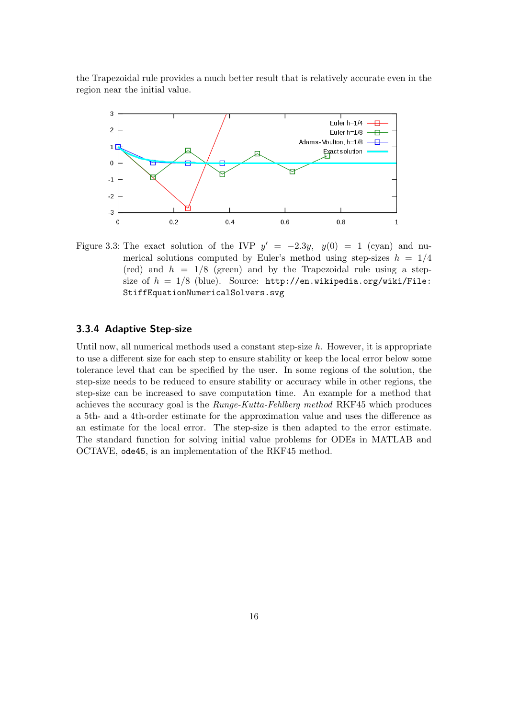the Trapezoidal rule provides a much better result that is relatively accurate even in the region near the initial value.



Figure 3.3: The exact solution of the IVP  $y' = -2.3y$ ,  $y(0) = 1$  (cyan) and numerical solutions computed by Euler's method using step-sizes  $h = 1/4$ (red) and  $h = 1/8$  (green) and by the Trapezoidal rule using a stepsize of  $h = 1/8$  (blue). Source: http://en.wikipedia.org/wiki/File: StiffEquationNumericalSolvers.svg

#### 3.3.4 Adaptive Step-size

Until now, all numerical methods used a constant step-size  $h$ . However, it is appropriate to use a different size for each step to ensure stability or keep the local error below some tolerance level that can be specified by the user. In some regions of the solution, the step-size needs to be reduced to ensure stability or accuracy while in other regions, the step-size can be increased to save computation time. An example for a method that achieves the accuracy goal is the Runge-Kutta-Fehlberg method RKF45 which produces a 5th- and a 4th-order estimate for the approximation value and uses the difference as an estimate for the local error. The step-size is then adapted to the error estimate. The standard function for solving initial value problems for ODEs in MATLAB and OCTAVE, ode45, is an implementation of the RKF45 method.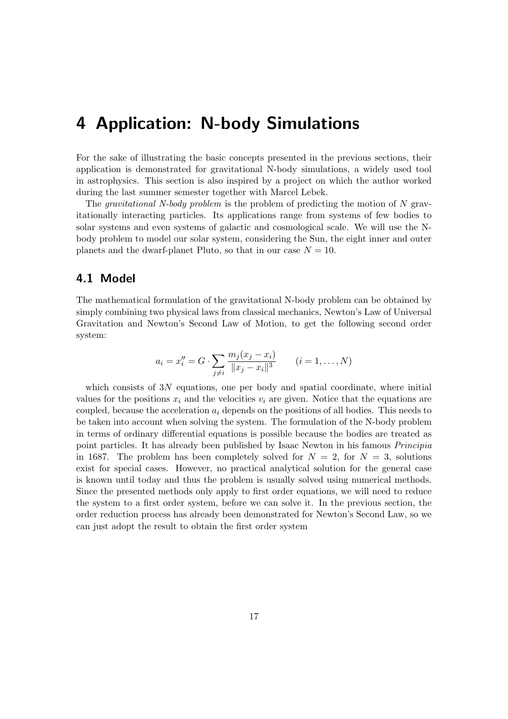### 4 Application: N-body Simulations

For the sake of illustrating the basic concepts presented in the previous sections, their application is demonstrated for gravitational N-body simulations, a widely used tool in astrophysics. This section is also inspired by a project on which the author worked during the last summer semester together with Marcel Lebek.

The *gravitational* N-body problem is the problem of predicting the motion of N gravitationally interacting particles. Its applications range from systems of few bodies to solar systems and even systems of galactic and cosmological scale. We will use the Nbody problem to model our solar system, considering the Sun, the eight inner and outer planets and the dwarf-planet Pluto, so that in our case  $N = 10$ .

### 4.1 Model

The mathematical formulation of the gravitational N-body problem can be obtained by simply combining two physical laws from classical mechanics, Newton's Law of Universal Gravitation and Newton's Second Law of Motion, to get the following second order system:

$$
a_i = x_i'' = G \cdot \sum_{j \neq i} \frac{m_j (x_j - x_i)}{\|x_j - x_i\|^3} \qquad (i = 1, ..., N)
$$

which consists of  $3N$  equations, one per body and spatial coordinate, where initial values for the positions  $x_i$  and the velocities  $v_i$  are given. Notice that the equations are coupled, because the acceleration  $a_i$  depends on the positions of all bodies. This needs to be taken into account when solving the system. The formulation of the N-body problem in terms of ordinary differential equations is possible because the bodies are treated as point particles. It has already been published by Isaac Newton in his famous Principia in 1687. The problem has been completely solved for  $N = 2$ , for  $N = 3$ , solutions exist for special cases. However, no practical analytical solution for the general case is known until today and thus the problem is usually solved using numerical methods. Since the presented methods only apply to first order equations, we will need to reduce the system to a first order system, before we can solve it. In the previous section, the order reduction process has already been demonstrated for Newton's Second Law, so we can just adopt the result to obtain the first order system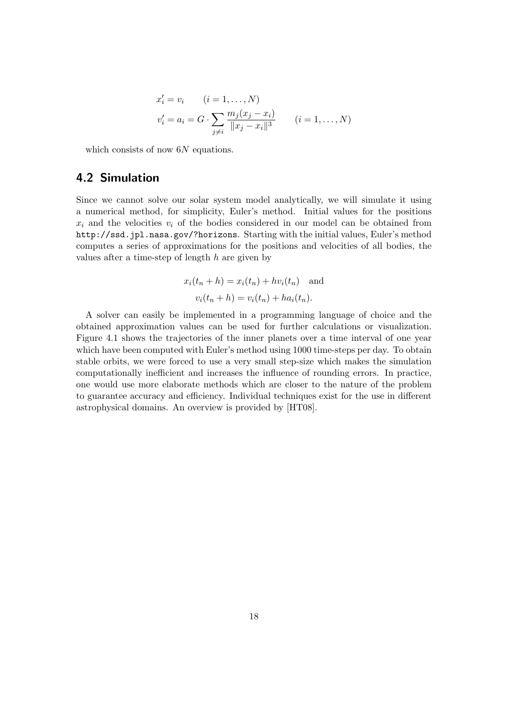$$
x'_{i} = v_{i} \qquad (i = 1, ..., N)
$$
  

$$
v'_{i} = a_{i} = G \cdot \sum_{j \neq i} \frac{m_{j}(x_{j} - x_{i})}{\|x_{j} - x_{i}\|^{3}} \qquad (i = 1, ..., N)
$$

which consists of now 6N equations.

### 4.2 Simulation

Since we cannot solve our solar system model analytically, we will simulate it using a numerical method, for simplicity, Euler's method. Initial values for the positions  $x_i$  and the velocities  $v_i$  of the bodies considered in our model can be obtained from http://ssd.jpl.nasa.gov/?horizons. Starting with the initial values, Euler's method computes a series of approximations for the positions and velocities of all bodies, the values after a time-step of length  $h$  are given by

$$
x_i(t_n + h) = x_i(t_n) + hv_i(t_n)
$$
 and  

$$
v_i(t_n + h) = v_i(t_n) + ha_i(t_n).
$$

A solver can easily be implemented in a programming language of choice and the obtained approximation values can be used for further calculations or visualization. Figure 4.1 shows the trajectories of the inner planets over a time interval of one year which have been computed with Euler's method using 1000 time-steps per day. To obtain stable orbits, we were forced to use a very small step-size which makes the simulation computationally inefficient and increases the influence of rounding errors. In practice, one would use more elaborate methods which are closer to the nature of the problem to guarantee accuracy and efficiency. Individual techniques exist for the use in different astrophysical domains. An overview is provided by [HT08].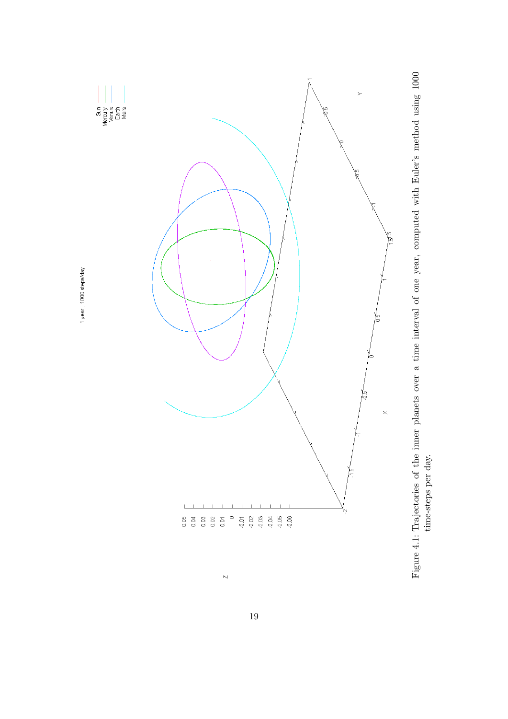

1 year, 1000 steps/day



 $\overline{\phantom{0}}$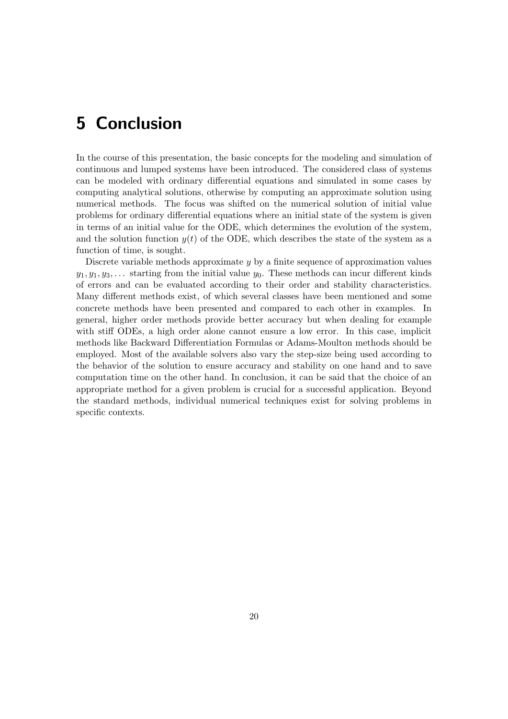## 5 Conclusion

In the course of this presentation, the basic concepts for the modeling and simulation of continuous and lumped systems have been introduced. The considered class of systems can be modeled with ordinary differential equations and simulated in some cases by computing analytical solutions, otherwise by computing an approximate solution using numerical methods. The focus was shifted on the numerical solution of initial value problems for ordinary differential equations where an initial state of the system is given in terms of an initial value for the ODE, which determines the evolution of the system, and the solution function  $y(t)$  of the ODE, which describes the state of the system as a function of time, is sought.

Discrete variable methods approximate y by a finite sequence of approximation values  $y_1, y_1, y_3, \ldots$  starting from the initial value  $y_0$ . These methods can incur different kinds of errors and can be evaluated according to their order and stability characteristics. Many different methods exist, of which several classes have been mentioned and some concrete methods have been presented and compared to each other in examples. In general, higher order methods provide better accuracy but when dealing for example with stiff ODEs, a high order alone cannot ensure a low error. In this case, implicit methods like Backward Differentiation Formulas or Adams-Moulton methods should be employed. Most of the available solvers also vary the step-size being used according to the behavior of the solution to ensure accuracy and stability on one hand and to save computation time on the other hand. In conclusion, it can be said that the choice of an appropriate method for a given problem is crucial for a successful application. Beyond the standard methods, individual numerical techniques exist for solving problems in specific contexts.